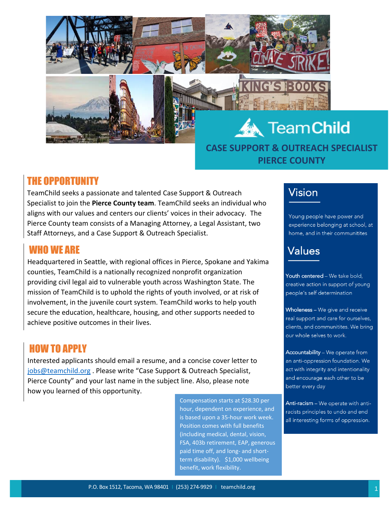

# **CASE SUPPORT & OUTREACH SPECIALIST PIERCE COUNTY**

# THE OPPORTUNITY

TeamChild seeks a passionate and talented Case Support & Outreach Specialist to join the **Pierce County team**. TeamChild seeks an individual who aligns with our values and centers our clients' voices in their advocacy. The Pierce County team consists of a Managing Attorney, a Legal Assistant, two Staff Attorneys, and a Case Support & Outreach Specialist.

## WHO WE ARE

Headquartered in Seattle, with regional offices in Pierce, Spokane and Yakima counties, TeamChild is a nationally recognized nonprofit organization providing civil legal aid to vulnerable youth across Washington State. The mission of TeamChild is to uphold the rights of youth involved, or at risk of involvement, in the juvenile court system. TeamChild works to help youth secure the education, healthcare, housing, and other supports needed to achieve positive outcomes in their lives.

# HOW TO APPLY

Interested applicants should email a resume, and a concise cover letter to [jobs@teamchild.org](mailto:jobs@teamchild.org) . Please write "Case Support & Outreach Specialist, Pierce County" and your last name in the subject line. Also, please note how you learned of this opportunity.

> Compensation starts at \$28.30 per hour, dependent on experience, and is based upon a 35-hour work week. Position comes with full benefits (including medical, dental, vision, FSA, 403b retirement, EAP, generous paid time off, and long- and shortterm disability). \$1,000 wellbeing benefit, work flexibility.

# Vision

Young people have power and experience belonging at school, at home, and in their communitites

# Values

Youth centered - We take bold. creative action in support of young people's self determination

Wholeness - We give and receive real support and care for ourselves, clients, and communitites. We bring our whole selves to work.

Accountability - We operate from an anti-oppression foundation. We act with integrity and intentionality and encourage each other to be better every day

Anti-racism - We operate with antiracists principles to undo and end all interesting forms of oppression.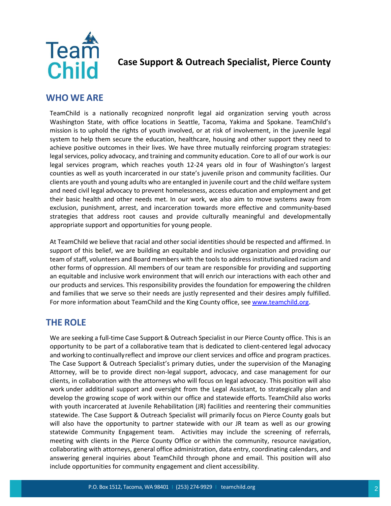

#### **Case Support & Outreach Specialist, Pierce County**

#### **WHO WE ARE**

TeamChild is a nationally recognized nonprofit legal aid organization serving youth across Washington State, with office locations in Seattle, Tacoma, Yakima and Spokane. TeamChild's mission is to uphold the rights of youth involved, or at risk of involvement, in the juvenile legal system to help them secure the education, healthcare, housing and other support they need to achieve positive outcomes in their lives. We have three mutually reinforcing program strategies: legal services, policy advocacy, and training and community education. Core to all of our work is our legal services program, which reaches youth 12-24 years old in four of Washington's largest counties as well as youth incarcerated in our state's juvenile prison and community facilities. Our clients are youth and young adults who are entangled in juvenile court and the child welfare system and need civil legal advocacy to prevent homelessness, access education and employment and get their basic health and other needs met. In our work, we also aim to move systems away from exclusion, punishment, arrest, and incarceration towards more effective and community-based strategies that address root causes and provide culturally meaningful and developmentally appropriate support and opportunities for young people.

At TeamChild we believe that racial and other social identities should be respected and affirmed. In support of this belief, we are building an equitable and inclusive organization and providing our team of staff, volunteers and Board members with the tools to address institutionalized racism and other forms of oppression. All members of our team are responsible for providing and supporting an equitable and inclusive work environment that will enrich our interactions with each other and our products and services. This responsibility provides the foundation for empowering the children and families that we serve so their needs are justly represented and their desires amply fulfilled. For more information about TeamChild and the King County office, see [www.teamchild.org.](http://www.teamchild.org/)

#### **THE ROLE**

We are seeking a full-time Case Support & Outreach Specialist in our Pierce County office. This is an opportunity to be part of a collaborative team that is dedicated to client-centered legal advocacy and working to continually reflect and improve our client services and office and program practices. The Case Support & Outreach Specialist's primary duties, under the supervision of the Managing Attorney, will be to provide direct non-legal support, advocacy, and case management for our clients, in collaboration with the attorneys who will focus on legal advocacy. This position will also work under additional support and oversight from the Legal Assistant, to strategically plan and develop the growing scope of work within our office and statewide efforts. TeamChild also works with youth incarcerated at Juvenile Rehabilitation (JR) facilities and reentering their communities statewide. The Case Support & Outreach Specialist will primarily focus on Pierce County goals but will also have the opportunity to partner statewide with our JR team as well as our growing statewide Community Engagement team. Activities may include the screening of referrals, meeting with clients in the Pierce County Office or within the community, resource navigation, collaborating with attorneys, general office administration, data entry, coordinating calendars, and answering general inquiries about TeamChild through phone and email. This position will also include opportunities for community engagement and client accessibility.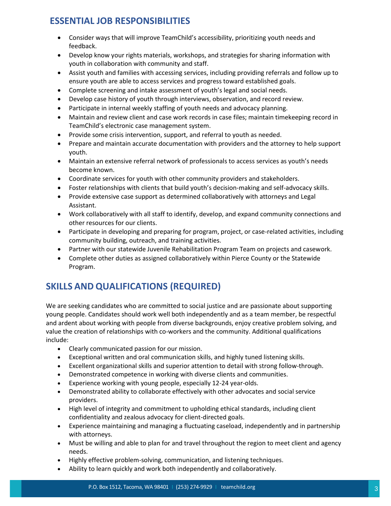## **ESSENTIAL JOB RESPONSIBILITIES**

- Consider ways that will improve TeamChild's accessibility, prioritizing youth needs and feedback.
- Develop know your rights materials, workshops, and strategies for sharing information with youth in collaboration with community and staff.
- Assist youth and families with accessing services, including providing referrals and follow up to ensure youth are able to access services and progress toward established goals.
- Complete screening and intake assessment of youth's legal and social needs.
- Develop case history of youth through interviews, observation, and record review.
- Participate in internal weekly staffing of youth needs and advocacy planning.
- Maintain and review client and case work records in case files; maintain timekeeping record in TeamChild's electronic case management system.
- Provide some crisis intervention, support, and referral to youth as needed.
- Prepare and maintain accurate documentation with providers and the attorney to help support youth.
- Maintain an extensive referral network of professionals to access services as youth's needs become known.
- Coordinate services for youth with other community providers and stakeholders.
- Foster relationships with clients that build youth's decision-making and self-advocacy skills.
- Provide extensive case support as determined collaboratively with attorneys and Legal Assistant.
- Work collaboratively with all staff to identify, develop, and expand community connections and other resources for our clients.
- Participate in developing and preparing for program, project, or case-related activities, including community building, outreach, and training activities.
- Partner with our statewide Juvenile Rehabilitation Program Team on projects and casework.
- Complete other duties as assigned collaboratively within Pierce County or the Statewide Program.

## **SKILLS AND QUALIFICATIONS (REQUIRED)**

We are seeking candidates who are committed to social justice and are passionate about supporting young people. Candidates should work well both independently and as a team member, be respectful and ardent about working with people from diverse backgrounds, enjoy creative problem solving, and value the creation of relationships with co-workers and the community. Additional qualifications include:

- Clearly communicated passion for our mission.
- Exceptional written and oral communication skills, and highly tuned listening skills.
- Excellent organizational skills and superior attention to detail with strong follow-through.
- Demonstrated competence in working with diverse clients and communities.
- Experience working with young people, especially 12-24 year-olds.
- Demonstrated ability to collaborate effectively with other advocates and social service providers.
- High level of integrity and commitment to upholding ethical standards, including client confidentiality and zealous advocacy for client-directed goals.
- Experience maintaining and managing a fluctuating caseload, independently and in partnership with attorneys.
- Must be willing and able to plan for and travel throughout the region to meet client and agency needs.
- Highly effective problem-solving, communication, and listening techniques.
- Ability to learn quickly and work both independently and collaboratively.